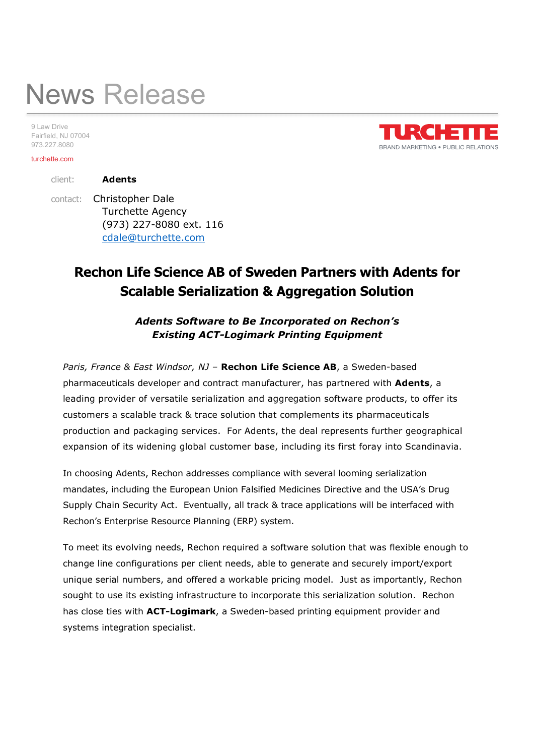# News Release

9 Law Drive Fairfield, NJ 07004 973.227.8080

#### turchette.com

client: Adents

 contact: Christopher Dale Turchette Agency (973) 227-8080 ext. 116 cdale@turchette.com

## Rechon Life Science AB of Sweden Partners with Adents for Scalable Serialization & Aggregation Solution

Adents Software to Be Incorporated on Rechon's Existing ACT-Logimark Printing Equipment

Paris, France & East Windsor, NJ - Rechon Life Science AB, a Sweden-based pharmaceuticals developer and contract manufacturer, has partnered with Adents, a leading provider of versatile serialization and aggregation software products, to offer its customers a scalable track & trace solution that complements its pharmaceuticals production and packaging services. For Adents, the deal represents further geographical expansion of its widening global customer base, including its first foray into Scandinavia.

In choosing Adents, Rechon addresses compliance with several looming serialization mandates, including the European Union Falsified Medicines Directive and the USA's Drug Supply Chain Security Act. Eventually, all track & trace applications will be interfaced with Rechon's Enterprise Resource Planning (ERP) system.

To meet its evolving needs, Rechon required a software solution that was flexible enough to change line configurations per client needs, able to generate and securely import/export unique serial numbers, and offered a workable pricing model. Just as importantly, Rechon sought to use its existing infrastructure to incorporate this serialization solution. Rechon has close ties with **ACT-Logimark**, a Sweden-based printing equipment provider and systems integration specialist.

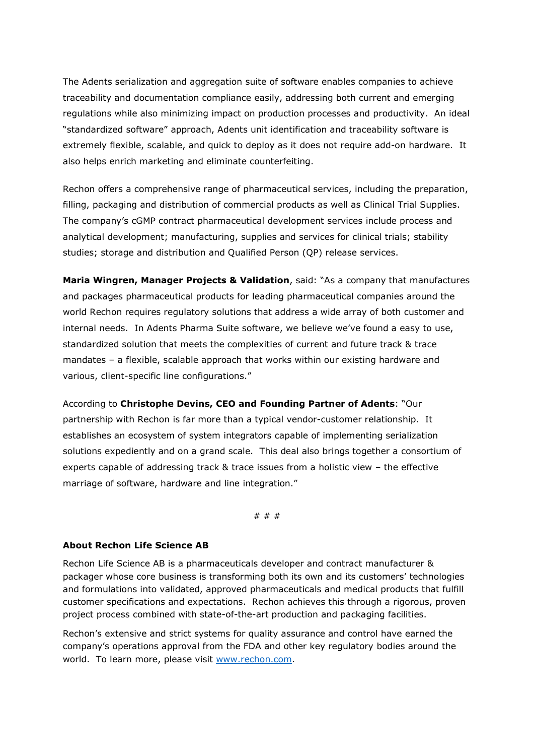The Adents serialization and aggregation suite of software enables companies to achieve traceability and documentation compliance easily, addressing both current and emerging regulations while also minimizing impact on production processes and productivity. An ideal "standardized software" approach, Adents unit identification and traceability software is extremely flexible, scalable, and quick to deploy as it does not require add-on hardware. It also helps enrich marketing and eliminate counterfeiting.

Rechon offers a comprehensive range of pharmaceutical services, including the preparation, filling, packaging and distribution of commercial products as well as Clinical Trial Supplies. The company's cGMP contract pharmaceutical development services include process and analytical development; manufacturing, supplies and services for clinical trials; stability studies; storage and distribution and Qualified Person (QP) release services.

Maria Wingren, Manager Projects & Validation, said: "As a company that manufactures and packages pharmaceutical products for leading pharmaceutical companies around the world Rechon requires regulatory solutions that address a wide array of both customer and internal needs. In Adents Pharma Suite software, we believe we've found a easy to use, standardized solution that meets the complexities of current and future track & trace mandates – a flexible, scalable approach that works within our existing hardware and various, client-specific line configurations."

According to Christophe Devins, CEO and Founding Partner of Adents: "Our partnership with Rechon is far more than a typical vendor-customer relationship. It establishes an ecosystem of system integrators capable of implementing serialization solutions expediently and on a grand scale. This deal also brings together a consortium of experts capable of addressing track & trace issues from a holistic view – the effective marriage of software, hardware and line integration."

# # #

### About Rechon Life Science AB

Rechon Life Science AB is a pharmaceuticals developer and contract manufacturer & packager whose core business is transforming both its own and its customers' technologies and formulations into validated, approved pharmaceuticals and medical products that fulfill customer specifications and expectations. Rechon achieves this through a rigorous, proven project process combined with state-of-the-art production and packaging facilities.

Rechon's extensive and strict systems for quality assurance and control have earned the company's operations approval from the FDA and other key regulatory bodies around the world. To learn more, please visit www.rechon.com.